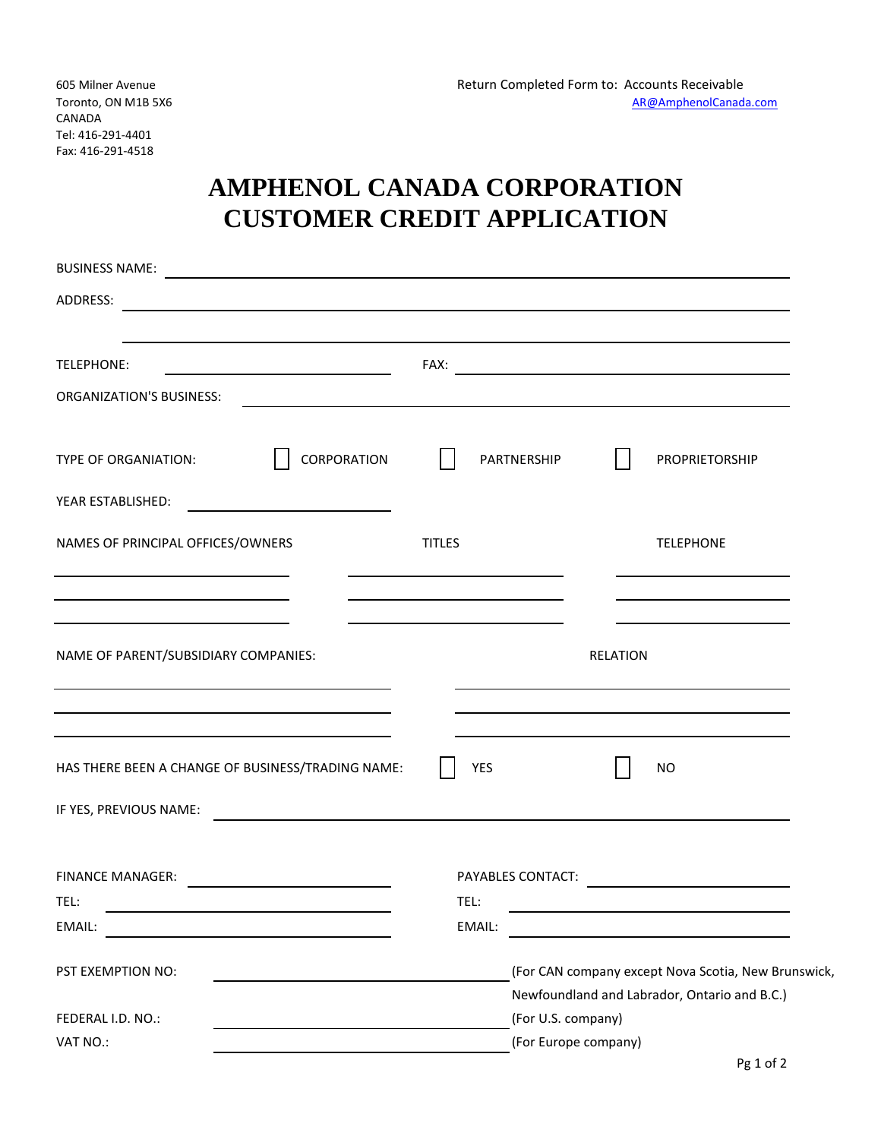## **AMPHENOL CANADA CORPORATION CUSTOMER CREDIT APPLICATION**

| <b>BUSINESS NAME:</b>                                                                                                              | <u> 1989 - Johann Harry Harry Harry Harry Harry Harry Harry Harry Harry Harry Harry Harry Harry Harry Harry Harry</u> |                      |                          |  |                                                                                                     |  |  |
|------------------------------------------------------------------------------------------------------------------------------------|-----------------------------------------------------------------------------------------------------------------------|----------------------|--------------------------|--|-----------------------------------------------------------------------------------------------------|--|--|
| ADDRESS:<br><u> 1989 - Johann Stein, mars et al. 1989 - Anna ann an t-Anna ann an t-Anna ann an t-Anna ann an t-Anna ann an t-</u> |                                                                                                                       |                      |                          |  |                                                                                                     |  |  |
| TELEPHONE:                                                                                                                         | FAX:<br><u> 1980 - Johann Barn, mars an t-Amerikaansk politiker (</u>                                                 |                      |                          |  |                                                                                                     |  |  |
| <b>ORGANIZATION'S BUSINESS:</b>                                                                                                    |                                                                                                                       |                      |                          |  |                                                                                                     |  |  |
| TYPE OF ORGANIATION:                                                                                                               | CORPORATION                                                                                                           |                      | PARTNERSHIP              |  | PROPRIETORSHIP                                                                                      |  |  |
| YEAR ESTABLISHED:                                                                                                                  |                                                                                                                       |                      |                          |  |                                                                                                     |  |  |
| NAMES OF PRINCIPAL OFFICES/OWNERS                                                                                                  | <b>TITLES</b>                                                                                                         |                      | <b>TELEPHONE</b>         |  |                                                                                                     |  |  |
|                                                                                                                                    |                                                                                                                       |                      |                          |  |                                                                                                     |  |  |
| NAME OF PARENT/SUBSIDIARY COMPANIES:                                                                                               |                                                                                                                       | <b>RELATION</b>      |                          |  |                                                                                                     |  |  |
| HAS THERE BEEN A CHANGE OF BUSINESS/TRADING NAME:                                                                                  |                                                                                                                       | <b>YES</b>           |                          |  | <b>NO</b>                                                                                           |  |  |
| IF YES, PREVIOUS NAME:                                                                                                             |                                                                                                                       |                      |                          |  |                                                                                                     |  |  |
| <b>FINANCE MANAGER:</b>                                                                                                            |                                                                                                                       |                      | <b>PAYABLES CONTACT:</b> |  |                                                                                                     |  |  |
| TEL:                                                                                                                               |                                                                                                                       | TEL:                 |                          |  |                                                                                                     |  |  |
| EMAIL:                                                                                                                             |                                                                                                                       | EMAIL:               |                          |  |                                                                                                     |  |  |
| PST EXEMPTION NO:                                                                                                                  |                                                                                                                       |                      |                          |  | (For CAN company except Nova Scotia, New Brunswick,<br>Newfoundland and Labrador, Ontario and B.C.) |  |  |
| FEDERAL I.D. NO.:                                                                                                                  |                                                                                                                       |                      | (For U.S. company)       |  |                                                                                                     |  |  |
| VAT NO.:                                                                                                                           |                                                                                                                       | (For Europe company) |                          |  |                                                                                                     |  |  |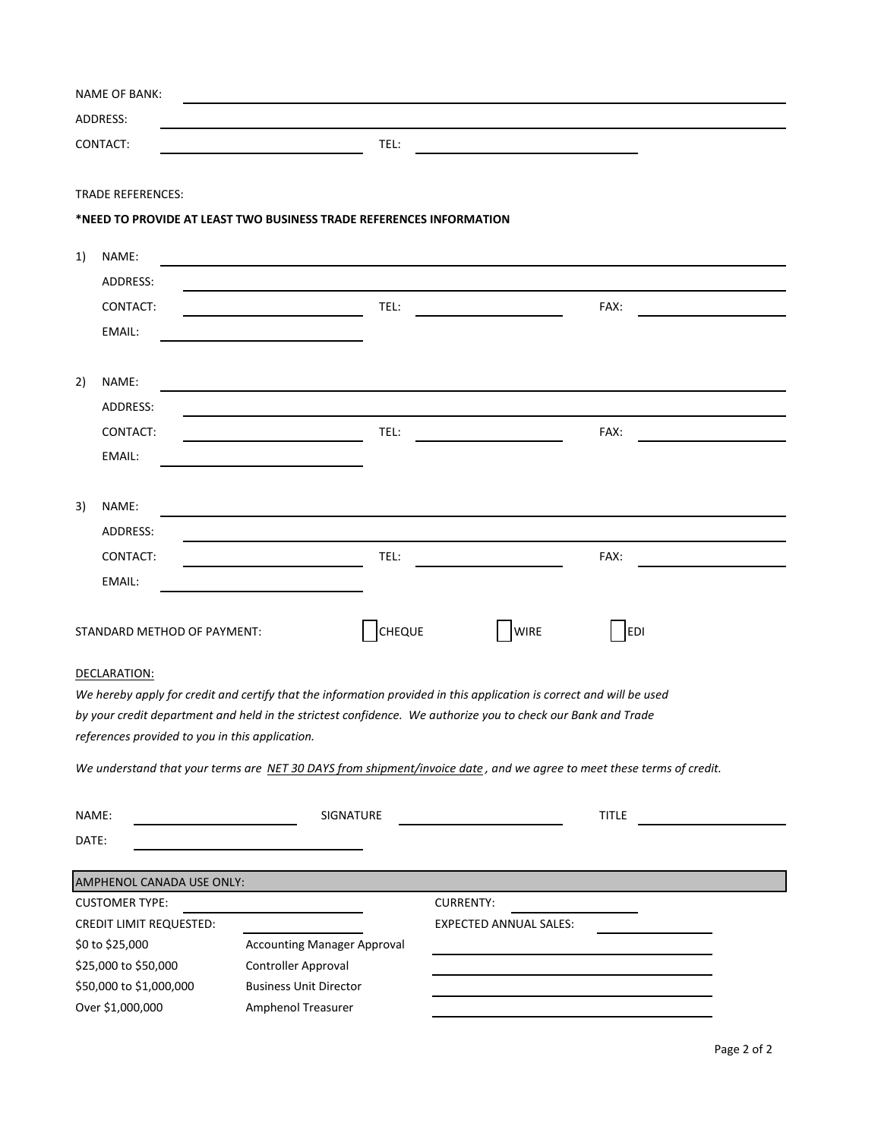|                    | <b>NAME OF BANK:</b>                                                                                                  |                                    |               |                  |                               |      |  |
|--------------------|-----------------------------------------------------------------------------------------------------------------------|------------------------------------|---------------|------------------|-------------------------------|------|--|
|                    | ADDRESS:                                                                                                              |                                    |               |                  |                               |      |  |
|                    | CONTACT:                                                                                                              |                                    | TEL:          |                  |                               |      |  |
|                    |                                                                                                                       |                                    |               |                  |                               |      |  |
|                    | <b>TRADE REFERENCES:</b>                                                                                              |                                    |               |                  |                               |      |  |
|                    | *NEED TO PROVIDE AT LEAST TWO BUSINESS TRADE REFERENCES INFORMATION                                                   |                                    |               |                  |                               |      |  |
|                    |                                                                                                                       |                                    |               |                  |                               |      |  |
| 1)                 | NAME:                                                                                                                 |                                    |               |                  |                               |      |  |
|                    | ADDRESS:                                                                                                              |                                    |               |                  |                               |      |  |
|                    | CONTACT:                                                                                                              |                                    | TEL:          |                  |                               | FAX: |  |
|                    | EMAIL:                                                                                                                |                                    |               |                  |                               |      |  |
|                    |                                                                                                                       |                                    |               |                  |                               |      |  |
| 2)                 | NAME:                                                                                                                 |                                    |               |                  |                               |      |  |
|                    | ADDRESS:                                                                                                              |                                    |               |                  |                               |      |  |
|                    | CONTACT:                                                                                                              |                                    | TEL:          |                  |                               | FAX: |  |
|                    | EMAIL:                                                                                                                |                                    |               |                  |                               |      |  |
|                    |                                                                                                                       |                                    |               |                  |                               |      |  |
| 3)                 | NAME:                                                                                                                 |                                    |               |                  |                               |      |  |
|                    | ADDRESS:                                                                                                              |                                    |               |                  |                               |      |  |
|                    | CONTACT:                                                                                                              |                                    | TEL:          |                  |                               | FAX: |  |
|                    | EMAIL:                                                                                                                |                                    |               |                  |                               |      |  |
|                    |                                                                                                                       |                                    |               |                  |                               |      |  |
|                    | STANDARD METHOD OF PAYMENT:                                                                                           |                                    | <b>CHEQUE</b> |                  | <b>WIRE</b>                   | EDI  |  |
|                    |                                                                                                                       |                                    |               |                  |                               |      |  |
|                    | DECLARATION:                                                                                                          |                                    |               |                  |                               |      |  |
|                    | We hereby apply for credit and certify that the information provided in this application is correct and will be used  |                                    |               |                  |                               |      |  |
|                    | by your credit department and held in the strictest confidence. We authorize you to check our Bank and Trade          |                                    |               |                  |                               |      |  |
|                    | references provided to you in this application.                                                                       |                                    |               |                  |                               |      |  |
|                    | We understand that your terms are NET 30 DAYS from shipment/invoice date, and we agree to meet these terms of credit. |                                    |               |                  |                               |      |  |
|                    |                                                                                                                       |                                    |               |                  |                               |      |  |
| NAME:<br>SIGNATURE |                                                                                                                       |                                    |               |                  | <b>TITLE</b>                  |      |  |
| DATE:              |                                                                                                                       |                                    |               |                  |                               |      |  |
|                    | AMPHENOL CANADA USE ONLY:                                                                                             |                                    |               |                  |                               |      |  |
|                    | <b>CUSTOMER TYPE:</b>                                                                                                 |                                    |               | <b>CURRENTY:</b> |                               |      |  |
|                    | <b>CREDIT LIMIT REQUESTED:</b>                                                                                        |                                    |               |                  | <b>EXPECTED ANNUAL SALES:</b> |      |  |
|                    | \$0 to \$25,000                                                                                                       | <b>Accounting Manager Approval</b> |               |                  |                               |      |  |
|                    | \$25,000 to \$50,000                                                                                                  | Controller Approval                |               |                  |                               |      |  |
|                    | \$50,000 to \$1,000,000                                                                                               | <b>Business Unit Director</b>      |               |                  |                               |      |  |
|                    | Over \$1,000,000                                                                                                      | Amphenol Treasurer                 |               |                  |                               |      |  |